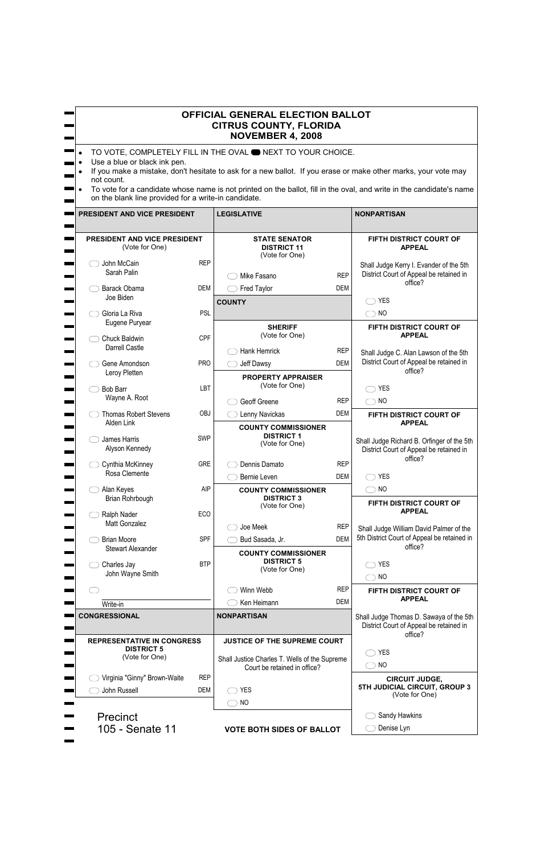## **OFFICIAL GENERAL ELECTION BALLOT CITRUS COUNTY, FLORIDA NOVEMBER 4, 2008**

- TO VOTE, COMPLETELY FILL IN THE OVAL **ONEXT TO YOUR CHOICE.**
- Use a blue or black ink pen.
- If you make a mistake, don't hesitate to ask for a new ballot. If you erase or make other marks, your vote may not count.
- To vote for a candidate whose name is not printed on the ballot, fill in the oval, and write in the candidate's name on the blank line provided for a write-in candidate.

| PRESIDENT AND VICE PRESIDENT                          |                                  | <b>LEGISLATIVE</b>                                                            |                          | <b>NONPARTISAN</b>                                                                    |
|-------------------------------------------------------|----------------------------------|-------------------------------------------------------------------------------|--------------------------|---------------------------------------------------------------------------------------|
| <b>PRESIDENT AND VICE PRESIDENT</b><br>(Vote for One) |                                  | <b>STATE SENATOR</b><br><b>DISTRICT 11</b><br>(Vote for One)                  |                          | FIFTH DISTRICT COURT OF<br><b>APPEAL</b>                                              |
| John McCain<br>Sarah Palin                            | <b>REP</b>                       | Mike Fasano                                                                   | <b>REP</b>               | Shall Judge Kerry I. Evander of the 5th<br>District Court of Appeal be retained in    |
| Barack Obama                                          | <b>DEM</b>                       | <b>Fred Taylor</b>                                                            | <b>DEM</b>               | office?                                                                               |
| Joe Biden                                             |                                  | <b>COUNTY</b>                                                                 |                          | <b>YES</b>                                                                            |
| Gloria La Riva<br>Eugene Puryear                      | <b>PSL</b>                       |                                                                               |                          | $\supset$ NO                                                                          |
| Chuck Baldwin                                         | <b>CPF</b>                       | <b>SHERIFF</b><br>(Vote for One)                                              |                          | FIFTH DISTRICT COURT OF<br><b>APPEAL</b>                                              |
| <b>Darrell Castle</b>                                 |                                  | <b>Hank Hemrick</b>                                                           | <b>REP</b>               | Shall Judge C. Alan Lawson of the 5th                                                 |
| Gene Amondson<br>Leroy Pletten                        | <b>PRO</b>                       | Jeff Dawsy                                                                    | <b>DEM</b>               | District Court of Appeal be retained in<br>office?                                    |
|                                                       |                                  | <b>PROPERTY APPRAISER</b><br>(Vote for One)                                   |                          |                                                                                       |
| <b>Bob Barr</b><br>Wayne A. Root                      | LBT                              |                                                                               |                          | <b>YES</b>                                                                            |
|                                                       | <b>OBJ</b>                       | Geoff Greene                                                                  | <b>REP</b><br><b>DEM</b> | $\bigcirc$ NO                                                                         |
| <b>Thomas Robert Stevens</b><br>Alden Link            |                                  | Lenny Navickas                                                                |                          | FIFTH DISTRICT COURT OF<br><b>APPEAL</b>                                              |
| James Harris<br>Alyson Kennedy                        | <b>SWP</b>                       | <b>COUNTY COMMISSIONER</b><br><b>DISTRICT 1</b><br>(Vote for One)             |                          | Shall Judge Richard B. Orfinger of the 5th<br>District Court of Appeal be retained in |
| Cynthia McKinney                                      | <b>GRE</b>                       | Dennis Damato                                                                 | <b>REP</b>               | office?                                                                               |
| Rosa Clemente                                         |                                  | Bernie Leven                                                                  | <b>DEM</b>               | <b>YES</b>                                                                            |
| Alan Keyes                                            | <b>AIP</b>                       | <b>COUNTY COMMISSIONER</b>                                                    |                          | $\bigcirc$ NO                                                                         |
| Brian Rohrbough                                       |                                  | <b>DISTRICT 3</b><br>(Vote for One)                                           |                          | FIFTH DISTRICT COURT OF                                                               |
| Ralph Nader                                           | <b>ECO</b>                       |                                                                               |                          | <b>APPEAL</b>                                                                         |
| Matt Gonzalez                                         |                                  | Joe Meek                                                                      | <b>REP</b>               | Shall Judge William David Palmer of the                                               |
| <b>Brian Moore</b><br><b>Stewart Alexander</b>        | <b>SPF</b>                       | Bud Sasada, Jr.                                                               | <b>DEM</b>               | 5th District Court of Appeal be retained in<br>office?                                |
|                                                       |                                  | <b>COUNTY COMMISSIONER</b><br><b>DISTRICT 5</b>                               |                          |                                                                                       |
| Charles Jay<br>John Wayne Smith                       | <b>BTP</b>                       | (Vote for One)                                                                |                          | <b>YES</b>                                                                            |
|                                                       |                                  | Winn Webb                                                                     | <b>REP</b>               | $\supset$ NO                                                                          |
|                                                       |                                  | Ken Heimann                                                                   | <b>DEM</b>               | FIFTH DISTRICT COURT OF<br><b>APPEAL</b>                                              |
| Write-in<br><b>CONGRESSIONAL</b>                      |                                  | <b>NONPARTISAN</b>                                                            |                          | Shall Judge Thomas D. Sawaya of the 5th                                               |
|                                                       |                                  |                                                                               |                          | District Court of Appeal be retained in                                               |
| <b>REPRESENTATIVE IN CONGRESS</b>                     |                                  | <b>JUSTICE OF THE SUPREME COURT</b>                                           |                          | office?                                                                               |
| <b>DISTRICT 5</b><br>(Vote for One)                   |                                  | Shall Justice Charles T. Wells of the Supreme<br>Court be retained in office? |                          | <b>YES</b>                                                                            |
|                                                       |                                  |                                                                               |                          | <b>NO</b>                                                                             |
| Virginia "Ginny" Brown-Waite                          | <b>REP</b>                       |                                                                               |                          | <b>CIRCUIT JUDGE,</b><br>5TH JUDICIAL CIRCUIT, GROUP 3                                |
| John Russell                                          | <b>DEM</b>                       | <b>YES</b>                                                                    |                          | (Vote for One)                                                                        |
|                                                       |                                  | <b>NO</b>                                                                     |                          |                                                                                       |
| <b>Precinct</b>                                       |                                  |                                                                               | Sandy Hawkins            |                                                                                       |
| 105 - Senate 11                                       | <b>VOTE BOTH SIDES OF BALLOT</b> |                                                                               | Denise Lyn               |                                                                                       |